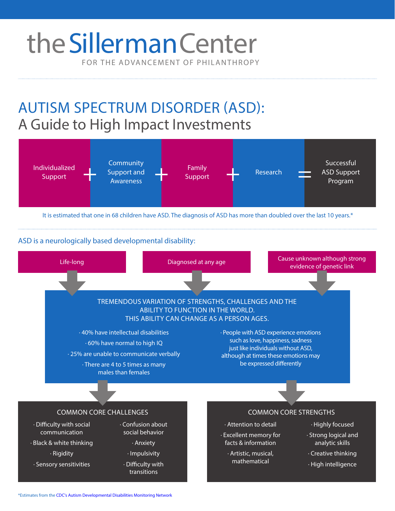# FOR THE ADVANCEMENT OF PHILANTHROPY the Sillerman Center

AUTISM SPECTRUM DISORDER (ASD): A Guide to High Impact Investments



It is estimated that one in 68 children have ASD. The diagnosis of ASD has more than doubled over the last 10 years.\*

### ASD is a neurologically based developmental disability:



\*Estimates from the [CDC's Autism Developmental Disabilities Monitoring Network](http://www.cdc.gov/ncbddd/autism/states/addm-fact-sheet_508.pdf)